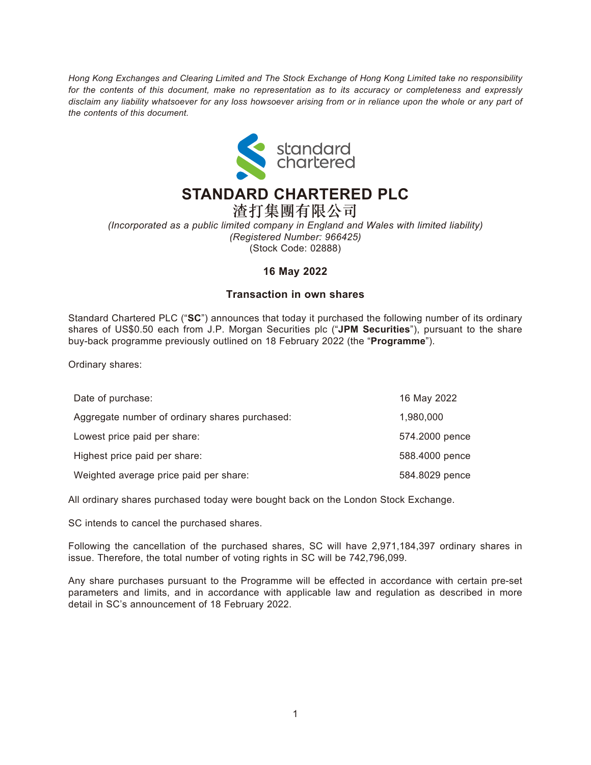*Hong Kong Exchanges and Clearing Limited and The Stock Exchange of Hong Kong Limited take no responsibility for the contents of this document, make no representation as to its accuracy or completeness and expressly disclaim any liability whatsoever for any loss howsoever arising from or in reliance upon the whole or any part of the contents of this document.*



## **STANDARD CHARTERED PLC**

渣打集團有限公司 *(Incorporated as a public limited company in England and Wales with limited liability) (Registered Number: 966425)* (Stock Code: 02888)

## **16 May 2022**

## **Transaction in own shares**

Standard Chartered PLC ("**SC**") announces that today it purchased the following number of its ordinary shares of US\$0.50 each from J.P. Morgan Securities plc ("**JPM Securities**"), pursuant to the share buy-back programme previously outlined on 18 February 2022 (the "**Programme**").

Ordinary shares:

| Date of purchase:                              | 16 May 2022    |
|------------------------------------------------|----------------|
| Aggregate number of ordinary shares purchased: | 1,980,000      |
| Lowest price paid per share:                   | 574.2000 pence |
| Highest price paid per share:                  | 588.4000 pence |
| Weighted average price paid per share:         | 584.8029 pence |

All ordinary shares purchased today were bought back on the London Stock Exchange.

SC intends to cancel the purchased shares.

Following the cancellation of the purchased shares, SC will have 2,971,184,397 ordinary shares in issue. Therefore, the total number of voting rights in SC will be 742,796,099.

Any share purchases pursuant to the Programme will be effected in accordance with certain pre-set parameters and limits, and in accordance with applicable law and regulation as described in more detail in SC's announcement of 18 February 2022.